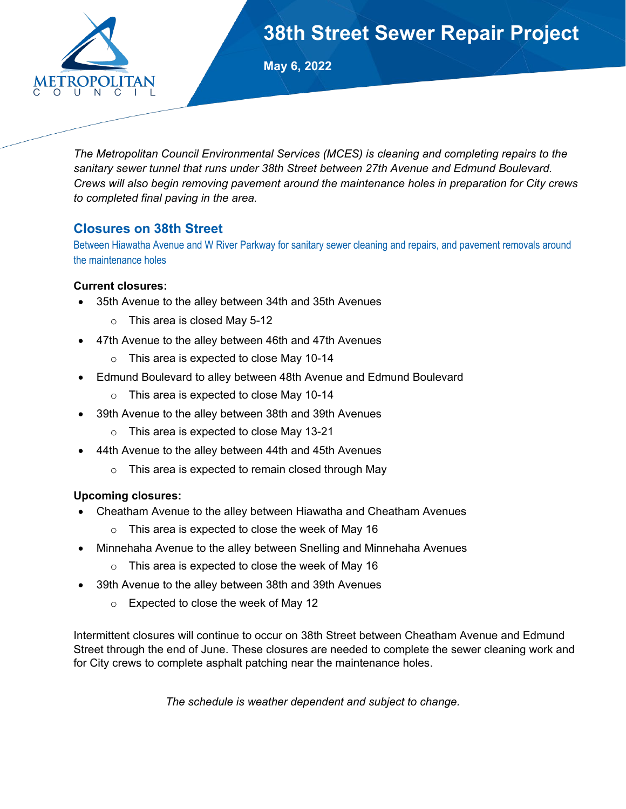

# **38th Street Sewer Repair Project**

**May 6, 2022**

*The Metropolitan Council Environmental Services (MCES) is cleaning and completing repairs to the sanitary sewer tunnel that runs under 38th Street between 27th Avenue and Edmund Boulevard. Crews will also begin removing pavement around the maintenance holes in preparation for City crews to completed final paving in the area.*

### **Closures on 38th Street**

Between Hiawatha Avenue and W River Parkway for sanitary sewer cleaning and repairs, and pavement removals around the maintenance holes

### **Current closures:**

- 35th Avenue to the alley between 34th and 35th Avenues
	- o This area is closed May 5-12
- 47th Avenue to the alley between 46th and 47th Avenues
	- o This area is expected to close May 10-14
- Edmund Boulevard to alley between 48th Avenue and Edmund Boulevard
	- o This area is expected to close May 10-14
- 39th Avenue to the alley between 38th and 39th Avenues
	- o This area is expected to close May 13-21
- 44th Avenue to the alley between 44th and 45th Avenues
	- o This area is expected to remain closed through May

#### **Upcoming closures:**

- Cheatham Avenue to the alley between Hiawatha and Cheatham Avenues
	- $\circ$  This area is expected to close the week of May 16
- Minnehaha Avenue to the alley between Snelling and Minnehaha Avenues
	- o This area is expected to close the week of May 16
- 39th Avenue to the alley between 38th and 39th Avenues
	- o Expected to close the week of May 12

Intermittent closures will continue to occur on 38th Street between Cheatham Avenue and Edmund Street through the end of June. These closures are needed to complete the sewer cleaning work and for City crews to complete asphalt patching near the maintenance holes.

*The schedule is weather dependent and subject to change.*